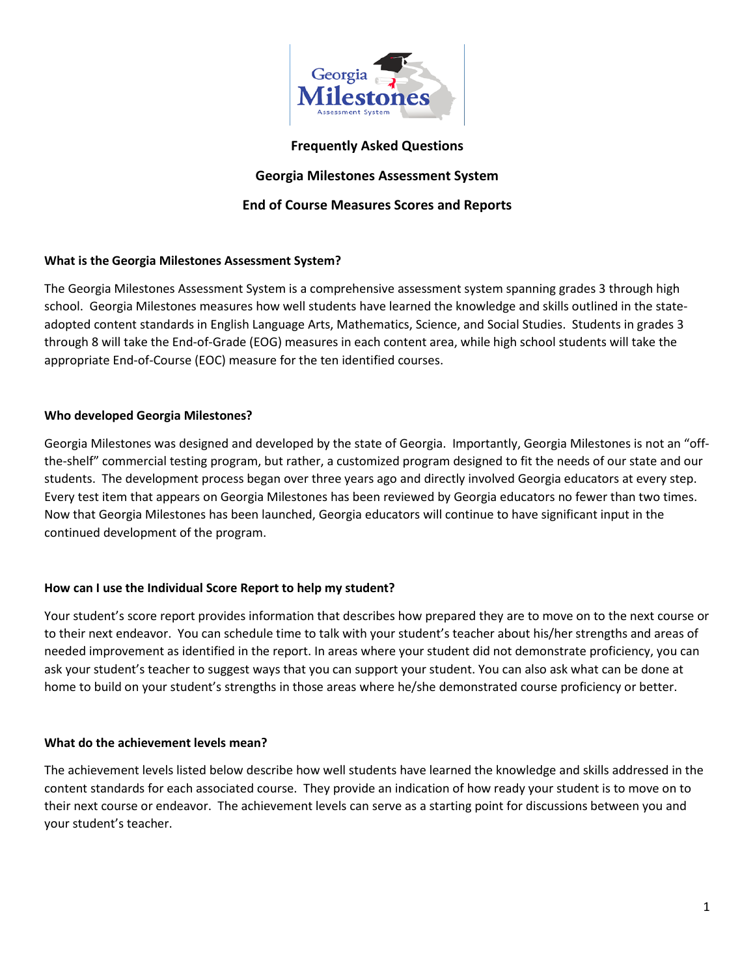

## **Frequently Asked Questions**

## **Georgia Milestones Assessment System**

## **End of Course Measures Scores and Reports**

## **What is the Georgia Milestones Assessment System?**

The Georgia Milestones Assessment System is a comprehensive assessment system spanning grades 3 through high school. Georgia Milestones measures how well students have learned the knowledge and skills outlined in the stateadopted content standards in English Language Arts, Mathematics, Science, and Social Studies. Students in grades 3 through 8 will take the End-of-Grade (EOG) measures in each content area, while high school students will take the appropriate End-of-Course (EOC) measure for the ten identified courses.

## **Who developed Georgia Milestones?**

Georgia Milestones was designed and developed by the state of Georgia. Importantly, Georgia Milestones is not an "offthe-shelf" commercial testing program, but rather, a customized program designed to fit the needs of our state and our students. The development process began over three years ago and directly involved Georgia educators at every step. Every test item that appears on Georgia Milestones has been reviewed by Georgia educators no fewer than two times. Now that Georgia Milestones has been launched, Georgia educators will continue to have significant input in the continued development of the program.

## **How can I use the Individual Score Report to help my student?**

Your student's score report provides information that describes how prepared they are to move on to the next course or to their next endeavor. You can schedule time to talk with your student's teacher about his/her strengths and areas of needed improvement as identified in the report. In areas where your student did not demonstrate proficiency, you can ask your student's teacher to suggest ways that you can support your student. You can also ask what can be done at home to build on your student's strengths in those areas where he/she demonstrated course proficiency or better.

## **What do the achievement levels mean?**

The achievement levels listed below describe how well students have learned the knowledge and skills addressed in the content standards for each associated course. They provide an indication of how ready your student is to move on to their next course or endeavor. The achievement levels can serve as a starting point for discussions between you and your student's teacher.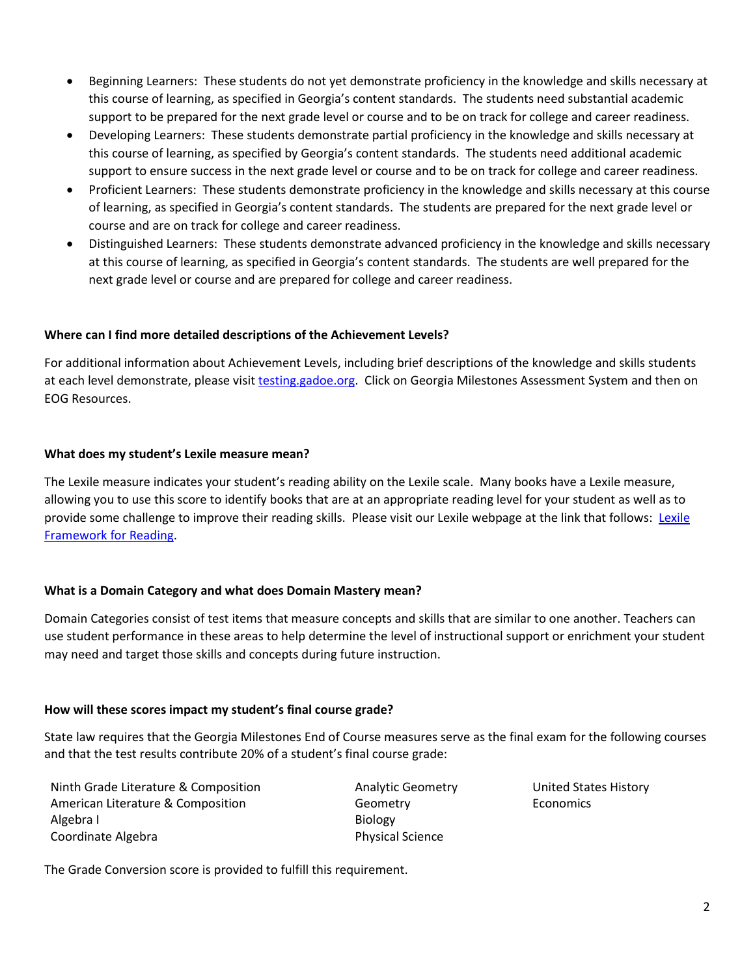- Beginning Learners: These students do not yet demonstrate proficiency in the knowledge and skills necessary at this course of learning, as specified in Georgia's content standards. The students need substantial academic support to be prepared for the next grade level or course and to be on track for college and career readiness.
- Developing Learners: These students demonstrate partial proficiency in the knowledge and skills necessary at this course of learning, as specified by Georgia's content standards. The students need additional academic support to ensure success in the next grade level or course and to be on track for college and career readiness.
- Proficient Learners: These students demonstrate proficiency in the knowledge and skills necessary at this course of learning, as specified in Georgia's content standards. The students are prepared for the next grade level or course and are on track for college and career readiness.
- Distinguished Learners: These students demonstrate advanced proficiency in the knowledge and skills necessary at this course of learning, as specified in Georgia's content standards. The students are well prepared for the next grade level or course and are prepared for college and career readiness.

## **Where can I find more detailed descriptions of the Achievement Levels?**

For additional information about Achievement Levels, including brief descriptions of the knowledge and skills students at each level demonstrate, please visit [testing.gadoe.org.](http://www.gadoe.org/Curriculum-Instruction-and-Assessment/Assessment/Pages/default.aspx) Click on Georgia Milestones Assessment System and then on EOG Resources.

## **What does my student's Lexile measure mean?**

The Lexile measure indicates your student's reading ability on the Lexile scale. Many books have a Lexile measure, allowing you to use this score to identify books that are at an appropriate reading level for your student as well as to provide some challenge to improve their reading skills. Please visit our Lexile webpage at the link that follows: [Lexile](http://www.gadoe.org/Curriculum-Instruction-and-Assessment/Assessment/Pages/Lexile-Framework.aspx)  [Framework for Reading.](http://www.gadoe.org/Curriculum-Instruction-and-Assessment/Assessment/Pages/Lexile-Framework.aspx)

## **What is a Domain Category and what does Domain Mastery mean?**

Domain Categories consist of test items that measure concepts and skills that are similar to one another. Teachers can use student performance in these areas to help determine the level of instructional support or enrichment your student may need and target those skills and concepts during future instruction.

## **How will these scores impact my student's final course grade?**

State law requires that the Georgia Milestones End of Course measures serve as the final exam for the following courses and that the test results contribute 20% of a student's final course grade:

Ninth Grade Literature & Composition **Analytic Geometry** United States History American Literature & Composition The Composition Ceometry Component Component Component Component Component Compo Algebra I and the state of the Biology Biology Coordinate Algebra **Physical Science** Physical Science

The Grade Conversion score is provided to fulfill this requirement.